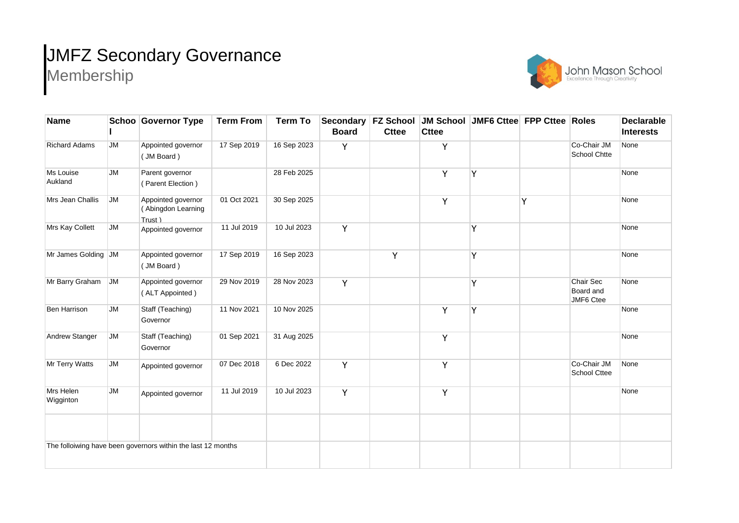## JMFZ Secondary Governance Membership



| <b>Name</b>                                                  |           | <b>Schoo Governor Type</b>                          | <b>Term From</b> | <b>Term To</b> | <b>Board</b> | <b>Cttee</b> | Secondary   FZ School   JM School   JMF6 Cttee   FPP Cttee   Roles<br><b>Cttee</b> |   |   |                                     | <b>Declarable</b><br><b>Interests</b> |
|--------------------------------------------------------------|-----------|-----------------------------------------------------|------------------|----------------|--------------|--------------|------------------------------------------------------------------------------------|---|---|-------------------------------------|---------------------------------------|
| <b>Richard Adams</b>                                         | <b>JM</b> | Appointed governor<br>(JM Board)                    | 17 Sep 2019      | 16 Sep 2023    | Y            |              | Y                                                                                  |   |   | Co-Chair JM<br>School Chtte         | None                                  |
| Ms Louise<br>Aukland                                         | <b>JM</b> | Parent governor<br>(Parent Election)                |                  | 28 Feb 2025    |              |              | Y                                                                                  | Y |   |                                     | None                                  |
| Mrs Jean Challis                                             | JM        | Appointed governor<br>(Abingdon Learning<br>Trust ) | 01 Oct 2021      | 30 Sep 2025    |              |              | Y                                                                                  |   | Y |                                     | None                                  |
| Mrs Kay Collett                                              | JM        | Appointed governor                                  | 11 Jul 2019      | 10 Jul 2023    | Y            |              |                                                                                    | Ý |   |                                     | None                                  |
| Mr James Golding JM                                          |           | Appointed governor<br>(JM Board)                    | 17 Sep 2019      | 16 Sep 2023    |              | Y            |                                                                                    | Y |   |                                     | None                                  |
| Mr Barry Graham                                              | <b>JM</b> | Appointed governor<br>(ALT Appointed)               | 29 Nov 2019      | 28 Nov 2023    | Y            |              |                                                                                    | Y |   | Chair Sec<br>Board and<br>JMF6 Ctee | None                                  |
| <b>Ben Harrison</b>                                          | <b>JM</b> | Staff (Teaching)<br>Governor                        | 11 Nov 2021      | 10 Nov 2025    |              |              | Y                                                                                  | Ý |   |                                     | None                                  |
| Andrew Stanger                                               | JM        | Staff (Teaching)<br>Governor                        | 01 Sep 2021      | 31 Aug 2025    |              |              | Y                                                                                  |   |   |                                     | None                                  |
| Mr Terry Watts                                               | JM        | Appointed governor                                  | 07 Dec 2018      | 6 Dec 2022     | Y            |              | Y                                                                                  |   |   | Co-Chair JM<br><b>School Cttee</b>  | None                                  |
| Mrs Helen<br>Wigginton                                       | <b>JM</b> | Appointed governor                                  | 11 Jul 2019      | 10 Jul 2023    | Y            |              | Y                                                                                  |   |   |                                     | None                                  |
|                                                              |           |                                                     |                  |                |              |              |                                                                                    |   |   |                                     |                                       |
| The folloiwing have been governors within the last 12 months |           |                                                     |                  |                |              |              |                                                                                    |   |   |                                     |                                       |